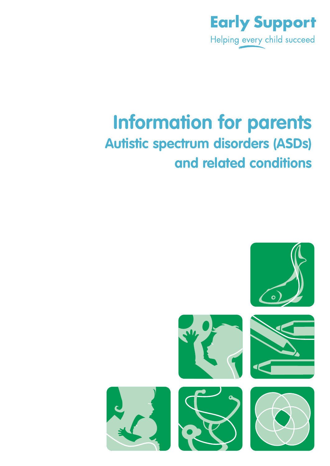

# **Information for parents Autistic spectrum disorders (ASDs) and related conditions**

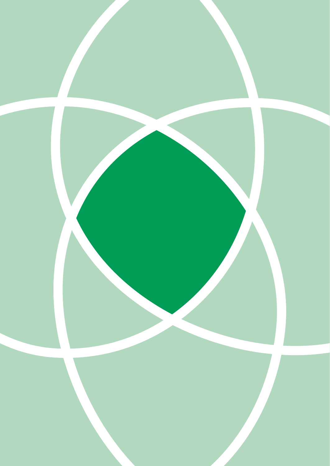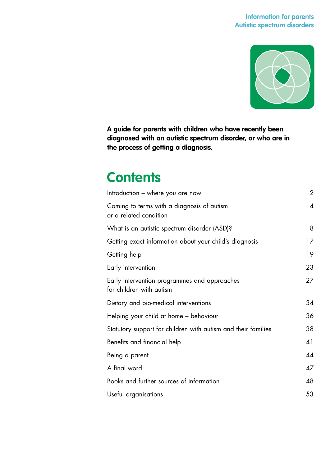

**A guide for parents with children who have recently been diagnosed with an autistic spectrum disorder, or who are in the process of getting a diagnosis.**

## **Contents**

| Introduction – where you are now                                         | $\overline{2}$ |
|--------------------------------------------------------------------------|----------------|
| Coming to terms with a diagnosis of autism<br>or a related condition     | $\overline{4}$ |
| What is an autistic spectrum disorder (ASD)?                             | 8              |
| Getting exact information about your child's diagnosis                   | 17             |
| Getting help                                                             | 19             |
| Early intervention                                                       | 23             |
| Early intervention programmes and approaches<br>for children with autism | 27             |
| Dietary and bio-medical interventions                                    | 34             |
| Helping your child at home - behaviour                                   | 36             |
| Statutory support for children with autism and their families            | 38             |
| Benefits and financial help                                              | 41             |
| Being a parent                                                           | 44             |
| A final word                                                             | 47             |
| Books and further sources of information                                 | 48             |
| Useful organisations                                                     | 53             |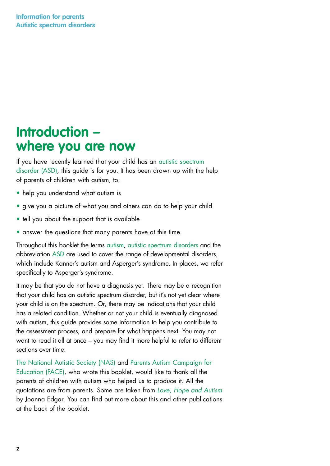## **Introduction – where you are now**

If you have recently learned that your child has an autistic spectrum disorder (ASD), this guide is for you. It has been drawn up with the help of parents of children with autism, to:

- help you understand what autism is
- give you a picture of what you and others can do to help your child
- tell you about the support that is available
- answer the questions that many parents have at this time.

Throughout this booklet the terms autism, autistic spectrum disorders and the abbreviation ASD are used to cover the range of developmental disorders, which include Kanner's autism and Asperger's syndrome. In places, we refer specifically to Asperger's syndrome.

It may be that you do not have a diagnosis yet. There may be a recognition that your child has an autistic spectrum disorder, but it's not yet clear where your child is on the spectrum. Or, there may be indications that your child has a related condition. Whether or not your child is eventually diagnosed with autism, this guide provides some information to help you contribute to the assessment process, and prepare for what happens next. You may not want to read it all at once – you may find it more helpful to refer to different sections over time.

The National Autistic Society (NAS) and Parents Autism Campaign for Education (PACE), who wrote this booklet, would like to thank all the parents of children with autism who helped us to produce it. All the quotations are from parents. Some are taken from *Love, Hope and Autism* by Joanna Edgar. You can find out more about this and other publications at the back of the booklet.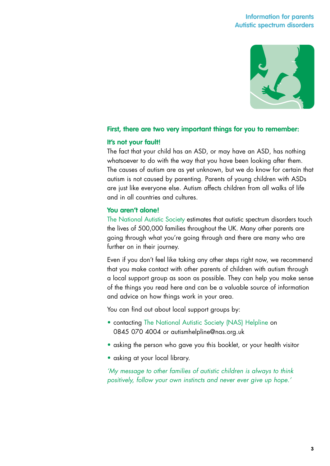

#### **First, there are two very important things for you to remember:**

#### **It's not your fault!**

The fact that your child has an ASD, or may have an ASD, has nothing whatsoever to do with the way that you have been looking after them. The causes of autism are as yet unknown, but we do know for certain that autism is not caused by parenting. Parents of young children with ASDs are just like everyone else. Autism affects children from all walks of life and in all countries and cultures.

#### **You aren't alone!**

The National Autistic Society estimates that autistic spectrum disorders touch the lives of 500,000 families throughout the UK. Many other parents are going through what you're going through and there are many who are further on in their journey.

Even if you don't feel like taking any other steps right now, we recommend that you make contact with other parents of children with autism through a local support group as soon as possible. They can help you make sense of the things you read here and can be a valuable source of information and advice on how things work in your area.

You can find out about local support groups by:

- contacting The National Autistic Society (NAS) Helpline on 0845 070 4004 or autismhelpline@nas.org.uk
- asking the person who gave you this booklet, or your health visitor
- asking at your local library.

*'My message to other families of autistic children is always to think positively, follow your own instincts and never ever give up hope.'*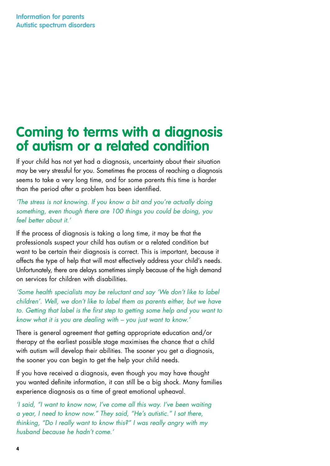## **Coming to terms with a diagnosis of autism or a related condition**

If your child has not yet had a diagnosis, uncertainty about their situation may be very stressful for you. Sometimes the process of reaching a diagnosis seems to take a very long time, and for some parents this time is harder than the period after a problem has been identified.

*'The stress is not knowing. If you know a bit and you're actually doing something, even though there are 100 things you could be doing, you feel better about it.'*

If the process of diagnosis is taking a long time, it may be that the professionals suspect your child has autism or a related condition but want to be certain their diagnosis is correct. This is important, because it affects the type of help that will most effectively address your child's needs. Unfortunately, there are delays sometimes simply because of the high demand on services for children with disabilities.

*'Some health specialists may be reluctant and say 'We don't like to label children'. Well, we don't like to label them as parents either, but we have to. Getting that label is the first step to getting some help and you want to know what it is you are dealing with – you just want to know.'*

There is general agreement that getting appropriate education and/or therapy at the earliest possible stage maximises the chance that a child with autism will develop their abilities. The sooner you get a diagnosis, the sooner you can begin to get the help your child needs.

If you have received a diagnosis, even though you may have thought you wanted definite information, it can still be a big shock. Many families experience diagnosis as a time of great emotional upheaval.

*'I said, "I want to know now, I've come all this way. I've been waiting a year, I need to know now." They said, "He's autistic." I sat there, thinking, "Do I really want to know this?" I was really angry with my husband because he hadn't come.'*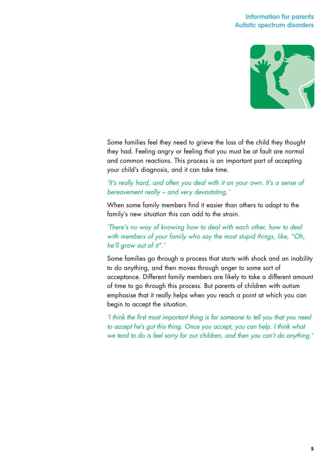

Some families feel they need to grieve the loss of the child they thought they had. Feeling angry or feeling that you must be at fault are normal and common reactions. This process is an important part of accepting your child's diagnosis, and it can take time.

### *'It's really hard, and often you deal with it on your own. It's a sense of bereavement really – and very devastating.'*

When some family members find it easier than others to adapt to the family's new situation this can add to the strain.

### *'There's no way of knowing how to deal with each other, how to deal with members of your family who say the most stupid things, like, "Oh, he'll grow out of it".'*

Some families go through a process that starts with shock and an inability to do anything, and then moves through anger to some sort of acceptance. Different family members are likely to take a different amount of time to go through this process. But parents of children with autism emphasise that it really helps when you reach a point at which you can begin to accept the situation.

*'I think the first most important thing is for someone to tell you that you need to accept he's got this thing. Once you accept, you can help. I think what we tend to do is feel sorry for our children, and then you can't do anything.'*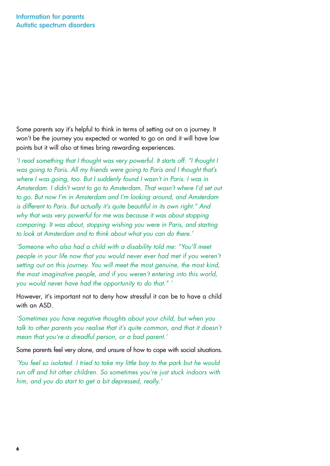Some parents say it's helpful to think in terms of setting out on a journey. It won't be the journey you expected or wanted to go on and it will have low points but it will also at times bring rewarding experiences.

*'I read something that I thought was very powerful. It starts off: "I thought I was going to Paris. All my friends were going to Paris and I thought that's where I was going, too. But I suddenly found I wasn't in Paris. I was in Amsterdam. I didn't want to go to Amsterdam. That wasn't where I'd set out to go. But now I'm in Amsterdam and I'm looking around, and Amsterdam is different to Paris. But actually it's quite beautiful in its own right." And why that was very powerful for me was because it was about stopping comparing. It was about, stopping wishing you were in Paris, and starting to look at Amsterdam and to think about what you can do there.'*

*'Someone who also had a child with a disability told me: "You'll meet people in your life now that you would never ever had met if you weren't setting out on this journey. You will meet the most genuine, the most kind, the most imaginative people, and if you weren't entering into this world, you would never have had the opportunity to do that." '*

However, it's important not to deny how stressful it can be to have a child with an ASD.

*'Sometimes you have negative thoughts about your child, but when you talk to other parents you realise that it's quite common, and that it doesn't mean that you're a dreadful person, or a bad parent.'*

Some parents feel very alone, and unsure of how to cope with social situations.

*'You feel so isolated. I tried to take my little boy to the park but he would run off and hit other children. So sometimes you're just stuck indoors with him, and you do start to get a bit depressed, really.'*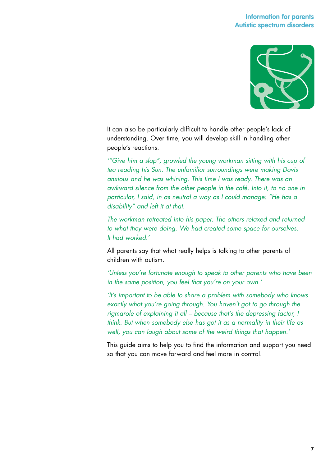

It can also be particularly difficult to handle other people's lack of understanding. Over time, you will develop skill in handling other people's reactions.

*'"Give him a slap", growled the young workman sitting with his cup of tea reading his Sun. The unfamiliar surroundings were making Davis anxious and he was whining. This time I was ready. There was an awkward silence from the other people in the café. Into it, to no one in particular, I said, in as neutral a way as I could manage: "He has a disability" and left it at that.*

*The workman retreated into his paper. The others relaxed and returned to what they were doing. We had created some space for ourselves. It had worked.'*

All parents say that what really helps is talking to other parents of children with autism.

*'Unless you're fortunate enough to speak to other parents who have been in the same position, you feel that you're on your own.'*

*'It's important to be able to share a problem with somebody who knows exactly what you're going through. You haven't got to go through the rigmarole of explaining it all – because that's the depressing factor, I think. But when somebody else has got it as a normality in their life as well, you can laugh about some of the weird things that happen.'*

This guide aims to help you to find the information and support you need so that you can move forward and feel more in control.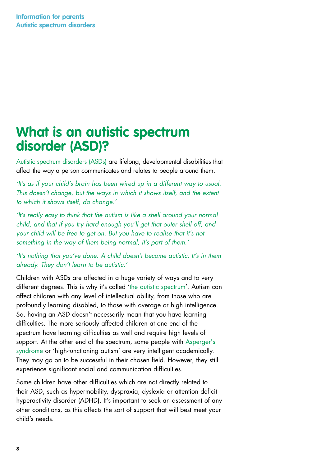## **What is an autistic spectrum disorder (ASD)?**

Autistic spectrum disorders (ASDs) are lifelong, developmental disabilities that affect the way a person communicates and relates to people around them.

*'It's as if your child's brain has been wired up in a different way to usual. This doesn't change, but the ways in which it shows itself, and the extent to which it shows itself, do change.'*

*'It's really easy to think that the autism is like a shell around your normal child, and that if you try hard enough you'll get that outer shell off, and your child will be free to get on. But you have to realise that it's not something in the way of them being normal, it's part of them.'*

*'It's nothing that you've done. A child doesn't become autistic. It's in them already. They don't learn to be autistic.'*

Children with ASDs are affected in a huge variety of ways and to very different degrees. This is why it's called 'the autistic spectrum'. Autism can affect children with any level of intellectual ability, from those who are profoundly learning disabled, to those with average or high intelligence. So, having an ASD doesn't necessarily mean that you have learning difficulties. The more seriously affected children at one end of the spectrum have learning difficulties as well and require high levels of support. At the other end of the spectrum, some people with Asperger's syndrome or 'high-functioning autism' are very intelligent academically. They may go on to be successful in their chosen field. However, they still experience significant social and communication difficulties.

Some children have other difficulties which are not directly related to their ASD, such as hypermobility, dyspraxia, dyslexia or attention deficit hyperactivity disorder (ADHD). It's important to seek an assessment of any other conditions, as this affects the sort of support that will best meet your child's needs.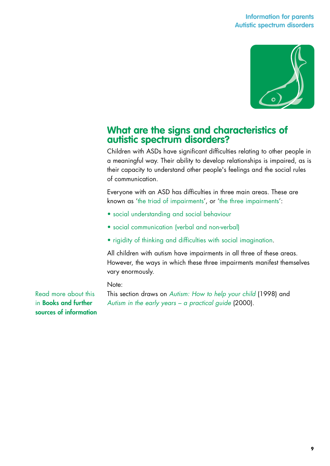

### **What are the signs and characteristics of autistic spectrum disorders?**

Children with ASDs have significant difficulties relating to other people in a meaningful way. Their ability to develop relationships is impaired, as is their capacity to understand other people's feelings and the social rules of communication.

Everyone with an ASD has difficulties in three main areas. These are known as 'the triad of impairments', or 'the three impairments':

- social understanding and social behaviour
- social communication (verbal and non-verbal)
- rigidity of thinking and difficulties with social imagination.

All children with autism have impairments in all three of these areas. However, the ways in which these three impairments manifest themselves vary enormously.

Note:

Read more about this in **Books and further sources of information** This section draws on *Autism: How to help your child* (1998) and *Autism in the early years – a practical guide* (2000).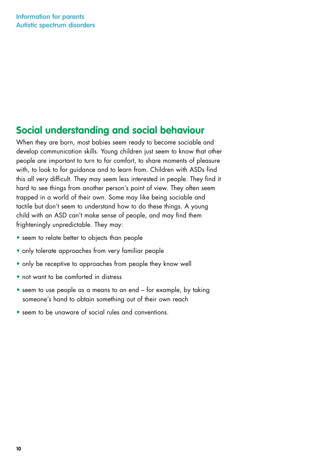### **Social understanding and social behaviour**

When they are born, most babies seem ready to become sociable and develop communication skills. Young children just seem to know that other people are important to turn to for comfort, to share moments of pleasure with, to look to for guidance and to learn from. Children with ASDs find this all very difficult. They may seem less interested in people. They find it hard to see things from another person's point of view. They often seem trapped in a world of their own. Some may like being sociable and tactile but don't seem to understand how to do these things. A young child with an ASD can't make sense of people, and may find them frighteningly unpredictable. They may:

- seem to relate better to objects than people
- only tolerate approaches from very familiar people
- only be receptive to approaches from people they know well
- not want to be comforted in distress
- seem to use people as a means to an end for example, by taking someone's hand to obtain something out of their own reach
- seem to be unaware of social rules and conventions.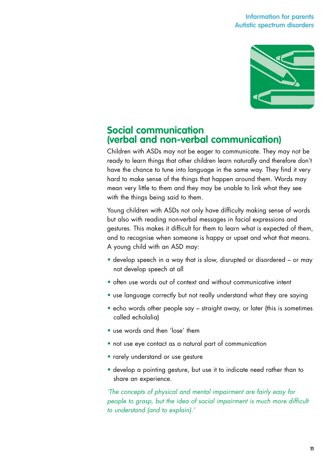

### **Social communication (verbal and non-verbal communication)**

Children with ASDs may not be eager to communicate. They may not be ready to learn things that other children learn naturally and therefore don't have the chance to tune into language in the same way. They find it very hard to make sense of the things that happen around them. Words may mean very little to them and they may be unable to link what they see with the things being said to them.

Young children with ASDs not only have difficulty making sense of words but also with reading non-verbal messages in facial expressions and gestures. This makes it difficult for them to learn what is expected of them, and to recognise when someone is happy or upset and what that means. A young child with an ASD may:

- develop speech in a way that is slow, disrupted or disordered or may not develop speech at all
- often use words out of context and without communicative intent
- use language correctly but not really understand what they are saying
- echo words other people say straight away, or later (this is sometimes called echolalia)
- use words and then 'lose' them
- not use eye contact as a natural part of communication
- rarely understand or use gesture
- develop a pointing gesture, but use it to indicate need rather than to share an experience.

*'The concepts of physical and mental impairment are fairly easy for people to grasp, but the idea of social impairment is much more difficult to understand (and to explain).'*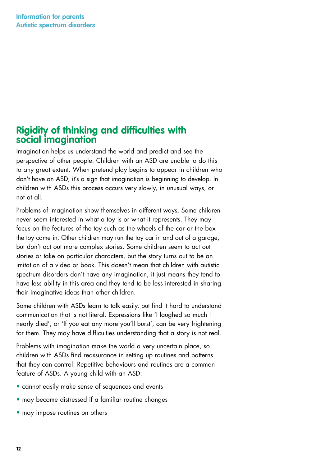### **Rigidity of thinking and difficulties with social imagination**

Imagination helps us understand the world and predict and see the perspective of other people. Children with an ASD are unable to do this to any great extent. When pretend play begins to appear in children who don't have an ASD, it's a sign that imagination is beginning to develop. In children with ASDs this process occurs very slowly, in unusual ways, or not at all.

Problems of imagination show themselves in different ways. Some children never seem interested in what a toy is or what it represents. They may focus on the features of the toy such as the wheels of the car or the box the toy came in. Other children may run the toy car in and out of a garage, but don't act out more complex stories. Some children seem to act out stories or take on particular characters, but the story turns out to be an imitation of a video or book. This doesn't mean that children with autistic spectrum disorders don't have any imagination, it just means they tend to have less ability in this area and they tend to be less interested in sharing their imaginative ideas than other children.

Some children with ASDs learn to talk easily, but find it hard to understand communication that is not literal. Expressions like 'I laughed so much I nearly died', or 'If you eat any more you'll burst', can be very frightening for them. They may have difficulties understanding that a story is not real.

Problems with imagination make the world a very uncertain place, so children with ASDs find reassurance in setting up routines and patterns that they can control. Repetitive behaviours and routines are a common feature of ASDs. A young child with an ASD:

- cannot easily make sense of sequences and events
- may become distressed if a familiar routine changes
- may impose routines on others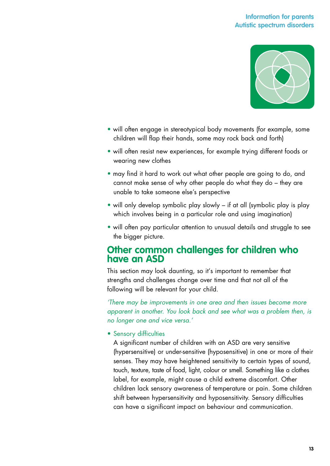

- will often engage in stereotypical body movements (for example, some children will flap their hands, some may rock back and forth)
- will often resist new experiences, for example trying different foods or wearing new clothes
- may find it hard to work out what other people are going to do, and cannot make sense of why other people do what they do – they are unable to take someone else's perspective
- will only develop symbolic play slowly if at all (symbolic play is play which involves being in a particular role and using imagination)
- will often pay particular attention to unusual details and struggle to see the bigger picture.

### **Other common challenges for children who have an ASD**

This section may look daunting, so it's important to remember that strengths and challenges change over time and that not all of the following will be relevant for your child.

*'There may be improvements in one area and then issues become more apparent in another. You look back and see what was a problem then, is no longer one and vice versa.'*

• Sensory difficulties

A significant number of children with an ASD are very sensitive (hypersensitive) or under-sensitive (hyposensitive) in one or more of their senses. They may have heightened sensitivity to certain types of sound, touch, texture, taste of food, light, colour or smell. Something like a clothes label, for example, might cause a child extreme discomfort. Other children lack sensory awareness of temperature or pain. Some children shift between hypersensitivity and hyposensitivity. Sensory difficulties can have a significant impact on behaviour and communication.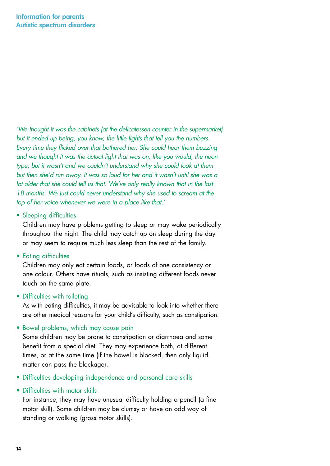*'We thought it was the cabinets (at the delicatessen counter in the supermarket) but it ended up being, you know, the little lights that tell you the numbers. Every time they flicked over that bothered her. She could hear them buzzing and we thought it was the actual light that was on, like you would, the neon type, but it wasn't and we couldn't understand why she could look at them but then she'd run away. It was so loud for her and it wasn't until she was a lot older that she could tell us that. We've only really known that in the last 18 months. We just could never understand why she used to scream at the top of her voice whenever we were in a place like that.'*

• Sleeping difficulties

Children may have problems getting to sleep or may wake periodically throughout the night. The child may catch up on sleep during the day or may seem to require much less sleep than the rest of the family.

• Eating difficulties

Children may only eat certain foods, or foods of one consistency or one colour. Others have rituals, such as insisting different foods never touch on the same plate.

• Difficulties with toileting

As with eating difficulties, it may be advisable to look into whether there are other medical reasons for your child's difficulty, such as constipation.

• Bowel problems, which may cause pain

Some children may be prone to constipation or diarrhoea and some benefit from a special diet. They may experience both, at different times, or at the same time (if the bowel is blocked, then only liquid matter can pass the blockage).

- Difficulties developing independence and personal care skills
- Difficulties with motor skills

For instance, they may have unusual difficulty holding a pencil (a fine motor skill). Some children may be clumsy or have an odd way of standing or walking (gross motor skills).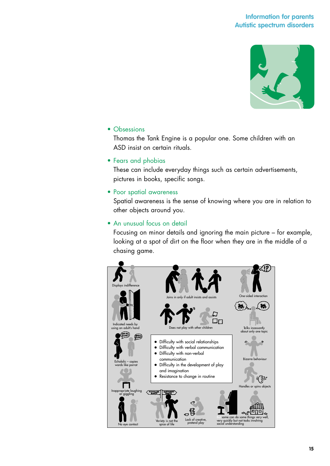

### • Obsessions

Thomas the Tank Engine is a popular one. Some children with an ASD insist on certain rituals.

• Fears and phobias

These can include everyday things such as certain advertisements, pictures in books, specific songs.

• Poor spatial awareness

Spatial awareness is the sense of knowing where you are in relation to other objects around you.

#### • An unusual focus on detail

Focusing on minor details and ignoring the main picture – for example, looking at a spot of dirt on the floor when they are in the middle of a chasing game.

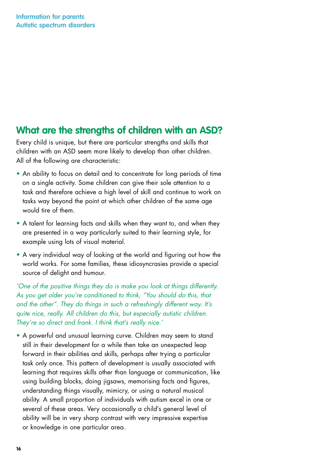### **What are the strengths of children with an ASD?**

Every child is unique, but there are particular strengths and skills that children with an ASD seem more likely to develop than other children. All of the following are characteristic:

- An ability to focus on detail and to concentrate for long periods of time on a single activity. Some children can give their sole attention to a task and therefore achieve a high level of skill and continue to work on tasks way beyond the point at which other children of the same age would tire of them.
- A talent for learning facts and skills when they want to, and when they are presented in a way particularly suited to their learning style, for example using lots of visual material.
- A very individual way of looking at the world and figuring out how the world works. For some families, these idiosyncrasies provide a special source of delight and humour.

*'One of the positive things they do is make you look at things differently. As you get older you're conditioned to think, "You should do this, that and the other". They do things in such a refreshingly different way. It's quite nice, really. All children do this, but especially autistic children. They're so direct and frank. I think that's really nice.'*

• A powerful and unusual learning curve. Children may seem to stand still in their development for a while then take an unexpected leap forward in their abilities and skills, perhaps after trying a particular task only once. This pattern of development is usually associated with learning that requires skills other than language or communication, like using building blocks, doing jigsaws, memorising facts and figures, understanding things visually, mimicry, or using a natural musical ability. A small proportion of individuals with autism excel in one or several of these areas. Very occasionally a child's general level of ability will be in very sharp contrast with very impressive expertise or knowledge in one particular area.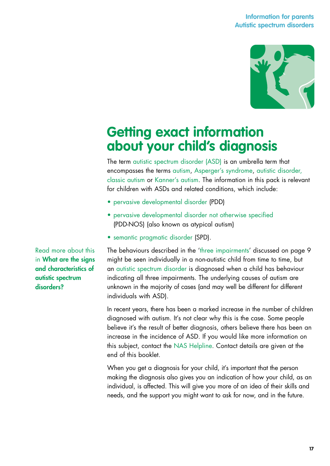

## **Getting exact information about your child's diagnosis**

The term autistic spectrum disorder (ASD) is an umbrella term that encompasses the terms autism, Asperger's syndrome, autistic disorder, classic autism or Kanner's autism. The information in this pack is relevant for children with ASDs and related conditions, which include:

- pervasive developmental disorder (PDD)
- pervasive developmental disorder not otherwise specified (PDD-NOS) (also known as atypical autism)
- semantic pragmatic disorder (SPD).

The behaviours described in the 'three impairments' discussed on page 9 might be seen individually in a non-autistic child from time to time, but an autistic spectrum disorder is diagnosed when a child has behaviour indicating all three impairments. The underlying causes of autism are unknown in the majority of cases (and may well be different for different individuals with ASD).

In recent years, there has been a marked increase in the number of children diagnosed with autism. It's not clear why this is the case. Some people believe it's the result of better diagnosis, others believe there has been an increase in the incidence of ASD. If you would like more information on this subject, contact the NAS Helpline. Contact details are given at the end of this booklet.

When you get a diagnosis for your child, it's important that the person making the diagnosis also gives you an indication of how your child, as an individual, is affected. This will give you more of an idea of their skills and needs, and the support you might want to ask for now, and in the future.

Read more about this in **What are the signs and characteristics of autistic spectrum disorders?**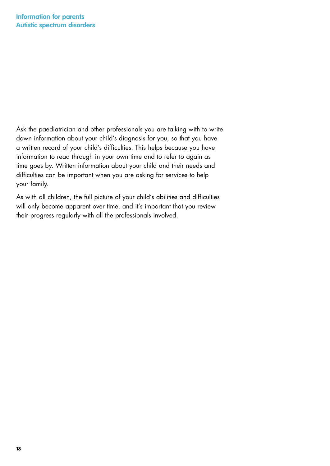Ask the paediatrician and other professionals you are talking with to write down information about your child's diagnosis for you, so that you have a written record of your child's difficulties. This helps because you have information to read through in your own time and to refer to again as time goes by. Written information about your child and their needs and difficulties can be important when you are asking for services to help your family.

As with all children, the full picture of your child's abilities and difficulties will only become apparent over time, and it's important that you review their progress regularly with all the professionals involved.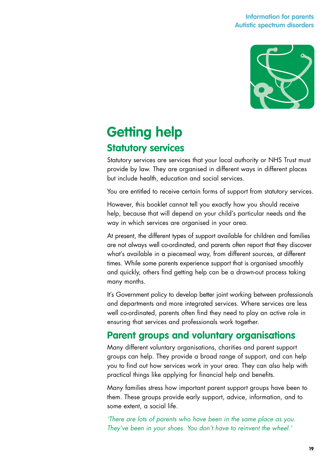

## **Getting help Statutory services**

Statutory services are services that your local authority or NHS Trust must provide by law. They are organised in different ways in different places but include health, education and social services.

You are entitled to receive certain forms of support from statutory services.

However, this booklet cannot tell you exactly how you should receive help, because that will depend on your child's particular needs and the way in which services are organised in your area.

At present, the different types of support available for children and families are not always well co-ordinated, and parents often report that they discover what's available in a piecemeal way, from different sources, at different times. While some parents experience support that is organised smoothly and quickly, others find getting help can be a drawn-out process taking many months.

It's Government policy to develop better joint working between professionals and departments and more integrated services. Where services are less well co-ordinated, parents often find they need to play an active role in ensuring that services and professionals work together.

### **Parent groups and voluntary organisations**

Many different voluntary organisations, charities and parent support groups can help. They provide a broad range of support, and can help you to find out how services work in your area. They can also help with practical things like applying for financial help and benefits.

Many families stress how important parent support groups have been to them. These groups provide early support, advice, information, and to some extent, a social life.

*'There are lots of parents who have been in the same place as you. They've been in your shoes. You don't have to reinvent the wheel.'*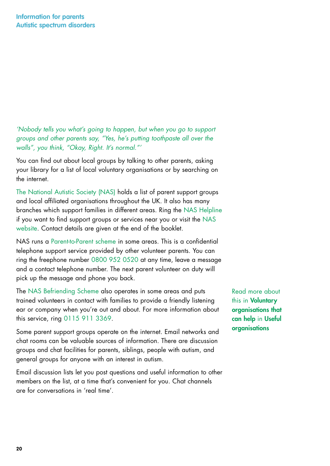*'Nobody tells you what's going to happen, but when you go to support groups and other parents say, "Yes, he's putting toothpaste all over the walls", you think, "Okay, Right. It's normal."'*

You can find out about local groups by talking to other parents, asking your library for a list of local voluntary organisations or by searching on the internet.

The National Autistic Society (NAS) holds a list of parent support groups and local affiliated organisations throughout the UK. It also has many branches which support families in different areas. Ring the NAS Helpline if you want to find support groups or services near you or visit the NAS website. Contact details are given at the end of the booklet.

NAS runs a Parent-to-Parent scheme in some areas. This is a confidential telephone support service provided by other volunteer parents. You can ring the freephone number 0800 952 0520 at any time, leave a message and a contact telephone number. The next parent volunteer on duty will pick up the message and phone you back.

The NAS Befriending Scheme also operates in some areas and puts trained volunteers in contact with families to provide a friendly listening ear or company when you're out and about. For more information about this service, ring 0115 911 3369.

Some parent support groups operate on the internet. Email networks and chat rooms can be valuable sources of information. There are discussion groups and chat facilities for parents, siblings, people with autism, and general groups for anyone with an interest in autism.

Email discussion lists let you post questions and useful information to other members on the list, at a time that's convenient for you. Chat channels are for conversations in 'real time'.

Read more about this in **Voluntary organisations that can help** in **Useful organisations**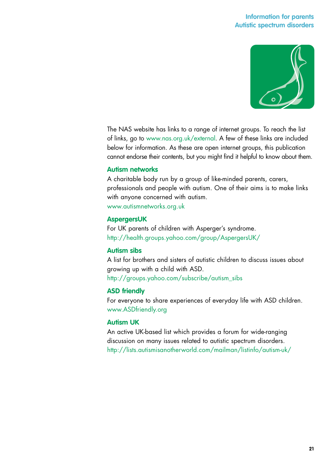

The NAS website has links to a range of internet groups. To reach the list of links, go to www.nas.org.uk/external. A few of these links are included below for information. As these are open internet groups, this publication cannot endorse their contents, but you might find it helpful to know about them.

#### **Autism networks**

A charitable body run by a group of like-minded parents, carers, professionals and people with autism. One of their aims is to make links with anyone concerned with autism. www.autismnetworks.org.uk

#### **AspergersUK**

For UK parents of children with Asperger's syndrome. http://health.groups.yahoo.com/group/AspergersUK/

### **Autism sibs**

A list for brothers and sisters of autistic children to discuss issues about growing up with a child with ASD. http://groups.yahoo.com/subscribe/autism\_sibs

### **ASD friendly**

For everyone to share experiences of everyday life with ASD children. www.ASDfriendly.org

#### **Autism UK**

An active UK-based list which provides a forum for wide-ranging discussion on many issues related to autistic spectrum disorders. http://lists.autismisanotherworld.com/mailman/listinfo/autism-uk/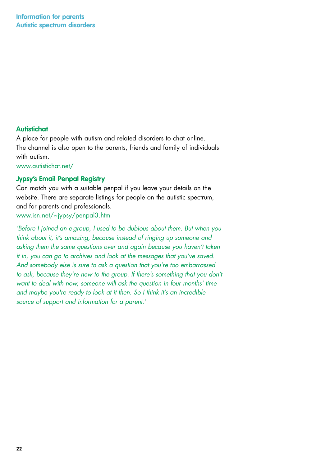### **Autistichat**

A place for people with autism and related disorders to chat online. The channel is also open to the parents, friends and family of individuals with autism.

www.autistichat.net/

### **Jypsy's Email Penpal Registry**

Can match you with a suitable penpal if you leave your details on the website. There are separate listings for people on the autistic spectrum, and for parents and professionals. www.isn.net/~jypsy/penpal3.htm

*'Before I joined an e-group, I used to be dubious about them. But when you think about it, it's amazing, because instead of ringing up someone and asking them the same questions over and again because you haven't taken it in, you can go to archives and look at the messages that you've saved. And somebody else is sure to ask a question that you're too embarrassed to ask, because they're new to the group. If there's something that you don't want to deal with now, someone will ask the question in four months' time and maybe you're ready to look at it then. So I think it's an incredible source of support and information for a parent.'*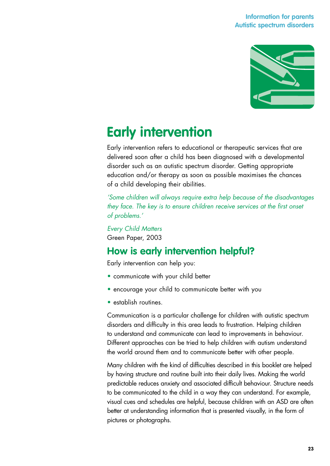

## **Early intervention**

Early intervention refers to educational or therapeutic services that are delivered soon after a child has been diagnosed with a developmental disorder such as an autistic spectrum disorder. Getting appropriate education and/or therapy as soon as possible maximises the chances of a child developing their abilities.

*'Some children will always require extra help because of the disadvantages they face. The key is to ensure children receive services at the first onset of problems.'*

*Every Child Matters* Green Paper, 2003

### **How is early intervention helpful?**

Early intervention can help you:

- communicate with your child better
- encourage your child to communicate better with you
- establish routines.

Communication is a particular challenge for children with autistic spectrum disorders and difficulty in this area leads to frustration. Helping children to understand and communicate can lead to improvements in behaviour. Different approaches can be tried to help children with autism understand the world around them and to communicate better with other people.

Many children with the kind of difficulties described in this booklet are helped by having structure and routine built into their daily lives. Making the world predictable reduces anxiety and associated difficult behaviour. Structure needs to be communicated to the child in a way they can understand. For example, visual cues and schedules are helpful, because children with an ASD are often better at understanding information that is presented visually, in the form of pictures or photographs.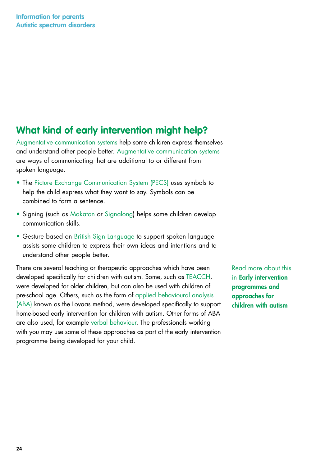### **What kind of early intervention might help?**

Augmentative communication systems help some children express themselves and understand other people better. Augmentative communication systems are ways of communicating that are additional to or different from spoken language.

- The Picture Exchange Communication System (PECS) uses symbols to help the child express what they want to say. Symbols can be combined to form a sentence.
- Signing (such as Makaton or Signalong) helps some children develop communication skills.
- Gesture based on British Sign Language to support spoken language assists some children to express their own ideas and intentions and to understand other people better.

There are several teaching or therapeutic approaches which have been developed specifically for children with autism. Some, such as TEACCH, were developed for older children, but can also be used with children of pre-school age. Others, such as the form of applied behavioural analysis (ABA) known as the Lovaas method, were developed specifically to support home-based early intervention for children with autism. Other forms of ABA are also used, for example verbal behaviour. The professionals working with you may use some of these approaches as part of the early intervention programme being developed for your child.

Read more about this in **Early intervention programmes and approaches for children with autism**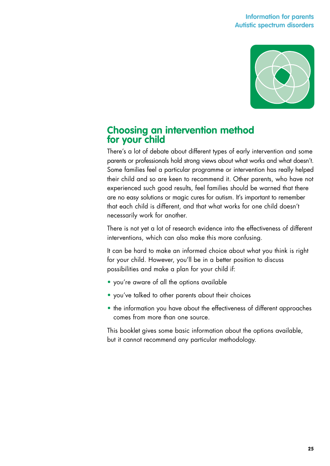

### **Choosing an intervention method for your child**

There's a lot of debate about different types of early intervention and some parents or professionals hold strong views about what works and what doesn't. Some families feel a particular programme or intervention has really helped their child and so are keen to recommend it. Other parents, who have not experienced such good results, feel families should be warned that there are no easy solutions or magic cures for autism. It's important to remember that each child is different, and that what works for one child doesn't necessarily work for another.

There is not yet a lot of research evidence into the effectiveness of different interventions, which can also make this more confusing.

It can be hard to make an informed choice about what you think is right for your child. However, you'll be in a better position to discuss possibilities and make a plan for your child if:

- you're aware of all the options available
- you've talked to other parents about their choices
- the information you have about the effectiveness of different approaches comes from more than one source.

This booklet gives some basic information about the options available, but it cannot recommend any particular methodology.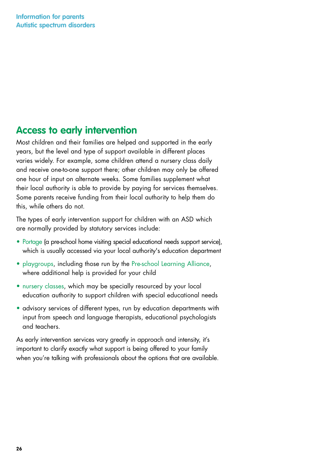### **Access to early intervention**

Most children and their families are helped and supported in the early years, but the level and type of support available in different places varies widely. For example, some children attend a nursery class daily and receive one-to-one support there; other children may only be offered one hour of input on alternate weeks. Some families supplement what their local authority is able to provide by paying for services themselves. Some parents receive funding from their local authority to help them do this, while others do not.

The types of early intervention support for children with an ASD which are normally provided by statutory services include:

- Portage (a pre-school home visiting special educational needs support service), which is usually accessed via your local authority's education department
- playgroups, including those run by the Pre-school Learning Alliance, where additional help is provided for your child
- nursery classes, which may be specially resourced by your local education authority to support children with special educational needs
- advisory services of different types, run by education departments with input from speech and language therapists, educational psychologists and teachers.

As early intervention services vary greatly in approach and intensity, it's important to clarify exactly what support is being offered to your family when you're talking with professionals about the options that are available.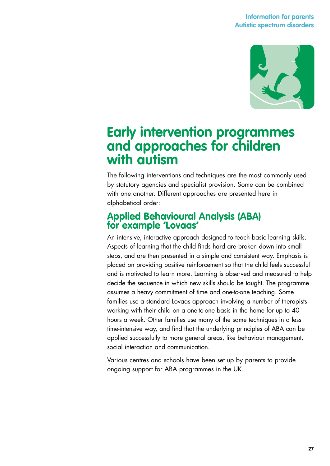

## **Early intervention programmes and approaches for children with autism**

The following interventions and techniques are the most commonly used by statutory agencies and specialist provision. Some can be combined with one another. Different approaches are presented here in alphabetical order:

### **Applied Behavioural Analysis (ABA) for example 'Lovaas'**

An intensive, interactive approach designed to teach basic learning skills. Aspects of learning that the child finds hard are broken down into small steps, and are then presented in a simple and consistent way. Emphasis is placed on providing positive reinforcement so that the child feels successful and is motivated to learn more. Learning is observed and measured to help decide the sequence in which new skills should be taught. The programme assumes a heavy commitment of time and one-to-one teaching. Some families use a standard Lovaas approach involving a number of therapists working with their child on a one-to-one basis in the home for up to 40 hours a week. Other families use many of the same techniques in a less time-intensive way, and find that the underlying principles of ABA can be applied successfully to more general areas, like behaviour management, social interaction and communication.

Various centres and schools have been set up by parents to provide ongoing support for ABA programmes in the UK.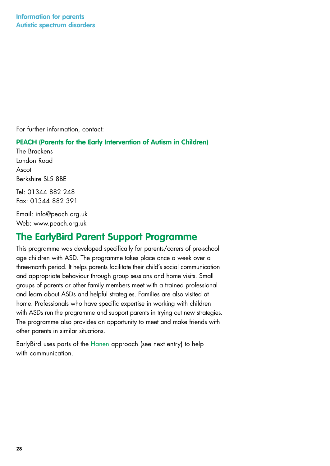For further information, contact:

### **PEACH (Parents for the Early Intervention of Autism in Children)**

The Brackens London Road Ascot Berkshire SL5 8BE

Tel: 01344 882 248 Fax: 01344 882 391

Email: info@peach.org.uk Web: www.peach.org.uk

### **The EarlyBird Parent Support Programme**

This programme was developed specifically for parents/carers of pre-school age children with ASD. The programme takes place once a week over a three-month period. It helps parents facilitate their child's social communication and appropriate behaviour through group sessions and home visits. Small groups of parents or other family members meet with a trained professional and learn about ASDs and helpful strategies. Families are also visited at home. Professionals who have specific expertise in working with children with ASDs run the programme and support parents in trying out new strategies. The programme also provides an opportunity to meet and make friends with other parents in similar situations.

EarlyBird uses parts of the Hanen approach (see next entry) to help with communication.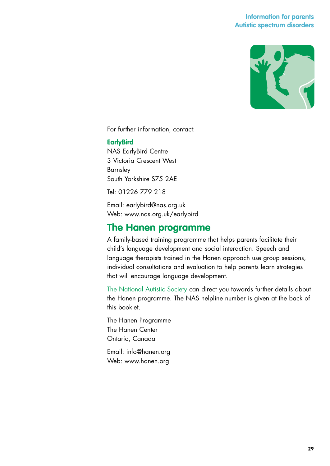

For further information, contact:

#### **EarlyBird**

NAS EarlyBird Centre 3 Victoria Crescent West Barnsley South Yorkshire S75 2AE

Tel: 01226 779 218

Email: earlybird@nas.org.uk Web: www.nas.org.uk/earlybird

### **The Hanen programme**

A family-based training programme that helps parents facilitate their child's language development and social interaction. Speech and language therapists trained in the Hanen approach use group sessions, individual consultations and evaluation to help parents learn strategies that will encourage language development.

The National Autistic Society can direct you towards further details about the Hanen programme. The NAS helpline number is given at the back of this booklet.

The Hanen Programme The Hanen Center Ontario, Canada

Email: info@hanen.org Web: www.hanen.org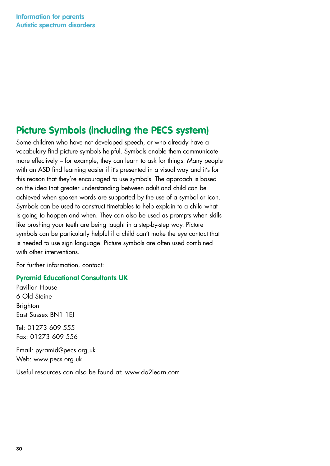### **Picture Symbols (including the PECS system)**

Some children who have not developed speech, or who already have a vocabulary find picture symbols helpful. Symbols enable them communicate more effectively – for example, they can learn to ask for things. Many people with an ASD find learning easier if it's presented in a visual way and it's for this reason that they're encouraged to use symbols. The approach is based on the idea that greater understanding between adult and child can be achieved when spoken words are supported by the use of a symbol or icon. Symbols can be used to construct timetables to help explain to a child what is going to happen and when. They can also be used as prompts when skills like brushing your teeth are being taught in a step-by-step way. Picture symbols can be particularly helpful if a child can't make the eye contact that is needed to use sign language. Picture symbols are often used combined with other interventions.

For further information, contact:

### **Pyramid Educational Consultants UK**

Pavilion House 6 Old Steine **Brighton** East Sussex BN1 1EJ

Tel: 01273 609 555 Fax: 01273 609 556

Email: pyramid@pecs.org.uk Web: www.pecs.org.uk

Useful resources can also be found at: www.do2learn.com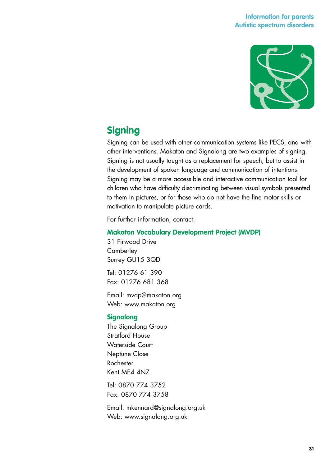

### **Signing**

Signing can be used with other communication systems like PECS, and with other interventions. Makaton and Signalong are two examples of signing. Signing is not usually taught as a replacement for speech, but to assist in the development of spoken language and communication of intentions. Signing may be a more accessible and interactive communication tool for children who have difficulty discriminating between visual symbols presented to them in pictures, or for those who do not have the fine motor skills or motivation to manipulate picture cards.

For further information, contact:

### **Makaton Vocabulary Development Project (MVDP)**

31 Firwood Drive **Camberley** Surrey GU15 3QD

Tel: 01276 61 390 Fax: 01276 681 368

Email: mvdp@makaton.org Web: www.makaton.org

### **Signalong**

The Signalong Group Stratford House Waterside Court Neptune Close **Rochester** Kent ME4 4NZ

Tel: 0870 774 3752 Fax: 0870 774 3758

Email: mkennard@signalong.org.uk Web: www.signalong.org.uk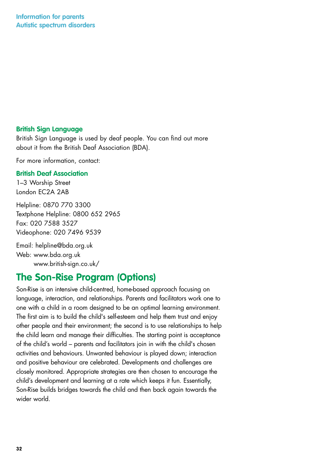#### **British Sign Language**

British Sign Language is used by deaf people. You can find out more about it from the British Deaf Association (BDA).

For more information, contact:

#### **British Deaf Association**

1–3 Worship Street London EC2A 2AB

Helpline: 0870 770 3300 Textphone Helpline: 0800 652 2965 Fax: 020 7588 3527 Videophone: 020 7496 9539

Email: helpline@bda.org.uk Web: www.bda.org.uk www.british-sign.co.uk/

### **The Son-Rise Program (Options)**

Son-Rise is an intensive child-centred, home-based approach focusing on language, interaction, and relationships. Parents and facilitators work one to one with a child in a room designed to be an optimal learning environment. The first aim is to build the child's self-esteem and help them trust and enjoy other people and their environment; the second is to use relationships to help the child learn and manage their difficulties. The starting point is acceptance of the child's world – parents and facilitators join in with the child's chosen activities and behaviours. Unwanted behaviour is played down; interaction and positive behaviour are celebrated. Developments and challenges are closely monitored. Appropriate strategies are then chosen to encourage the child's development and learning at a rate which keeps it fun. Essentially, Son-Rise builds bridges towards the child and then back again towards the wider world.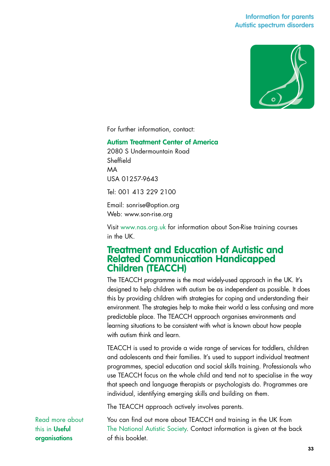

For further information, contact:

#### **Autism Treatment Center of America**

2080 S Undermountain Road **Sheffield** MA USA 01257-9643

Tel: 001 413 229 2100

Email: sonrise@option.org Web: www.son-rise.org

Visit www.nas.org.uk for information about Son-Rise training courses in the UK.

### **Treatment and Education of Autistic and Related Communication Handicapped Children (TEACCH)**

The TEACCH programme is the most widely-used approach in the UK. It's designed to help children with autism be as independent as possible. It does this by providing children with strategies for coping and understanding their environment. The strategies help to make their world a less confusing and more predictable place. The TEACCH approach organises environments and learning situations to be consistent with what is known about how people with autism think and learn.

TEACCH is used to provide a wide range of services for toddlers, children and adolescents and their families. It's used to support individual treatment programmes, special education and social skills training. Professionals who use TEACCH focus on the whole child and tend not to specialise in the way that speech and language therapists or psychologists do. Programmes are individual, identifying emerging skills and building on them.

The TEACCH approach actively involves parents.

Read more about this in **Useful organisations**

You can find out more about TEACCH and training in the UK from The National Autistic Society. Contact information is given at the back of this booklet.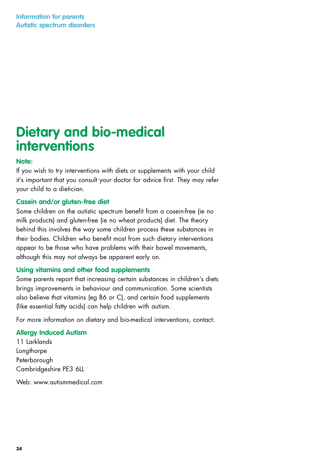## **Dietary and bio-medical interventions**

#### **Note:**

If you wish to try interventions with diets or supplements with your child it's important that you consult your doctor for advice first. They may refer your child to a dietician.

#### **Casein and/or gluten-free diet**

Some children on the autistic spectrum benefit from a casein-free (ie no milk products) and gluten-free (ie no wheat products) diet. The theory behind this involves the way some children process these substances in their bodies. Children who benefit most from such dietary interventions appear to be those who have problems with their bowel movements, although this may not always be apparent early on.

### **Using vitamins and other food supplements**

Some parents report that increasing certain substances in children's diets brings improvements in behaviour and communication. Some scientists also believe that vitamins (eg B6 or C), and certain food supplements (like essential fatty acids) can help children with autism.

For more information on dietary and bio-medical interventions, contact:

### **Allergy Induced Autism**

11 Larklands **Longthorpe Peterborough** Cambridgeshire PE3 6LL

Web: www.autismmedical.com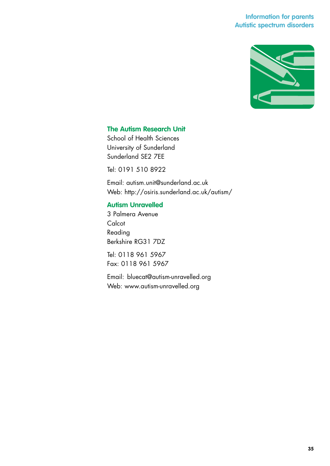

### **The Autism Research Unit**

School of Health Sciences University of Sunderland Sunderland SE2 7EE

Tel: 0191 510 8922

Email: autism.unit@sunderland.ac.uk Web: http://osiris.sunderland.ac.uk/autism/

#### **Autism Unravelled**

3 Palmera Avenue **Calcot** Reading Berkshire RG31 7DZ

Tel: 0118 961 5967 Fax: 0118 961 5967

Email: bluecat@autism-unravelled.org Web: www.autism-unravelled.org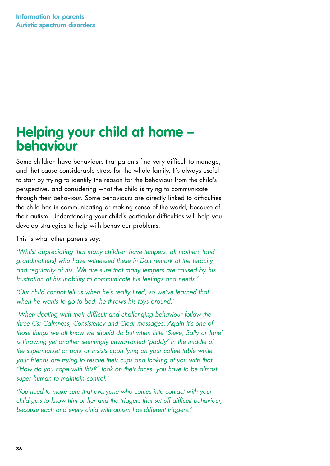## **Helping your child at home – behaviour**

Some children have behaviours that parents find very difficult to manage, and that cause considerable stress for the whole family. It's always useful to start by trying to identify the reason for the behaviour from the child's perspective, and considering what the child is trying to communicate through their behaviour. Some behaviours are directly linked to difficulties the child has in communicating or making sense of the world, because of their autism. Understanding your child's particular difficulties will help you develop strategies to help with behaviour problems.

This is what other parents say:

*'Whilst appreciating that many children have tempers, all mothers (and grandmothers) who have witnessed these in Dan remark at the ferocity and regularity of his. We are sure that many tempers are caused by his frustration at his inability to communicate his feelings and needs.'*

*'Our child cannot tell us when he's really tired, so we've learned that when he wants to go to bed, he throws his toys around.'*

*'When dealing with their difficult and challenging behaviour follow the three Cs: Calmness, Consistency and Clear messages. Again it's one of those things we all know we should do but when little 'Steve, Sally or Jane' is throwing yet another seemingly unwarranted 'paddy' in the middle of the supermarket or park or insists upon lying on your coffee table while your friends are trying to rescue their cups and looking at you with that "How do you cope with this?" look on their faces, you have to be almost super human to maintain control.'*

*'You need to make sure that everyone who comes into contact with your child gets to know him or her and the triggers that set off difficult behaviour, because each and every child with autism has different triggers.'*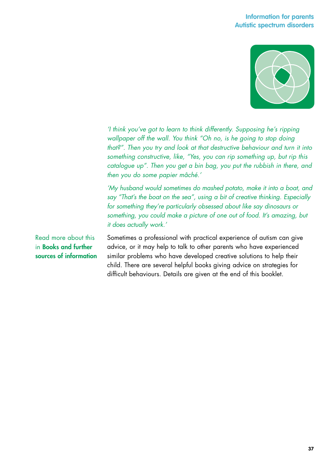

*'I think you've got to learn to think differently. Supposing he's ripping wallpaper off the wall. You think "Oh no, is he going to stop doing that?". Then you try and look at that destructive behaviour and turn it into something constructive, like, "Yes, you can rip something up, but rip this catalogue up". Then you get a bin bag, you put the rubbish in there, and then you do some papier mâché.'*

*'My husband would sometimes do mashed potato, make it into a boat, and say "That's the boat on the sea", using a bit of creative thinking. Especially for something they're particularly obsessed about like say dinosaurs or something, you could make a picture of one out of food. It's amazing, but it does actually work.'*

Read more about this in **Books and further sources of information** Sometimes a professional with practical experience of autism can give advice, or it may help to talk to other parents who have experienced similar problems who have developed creative solutions to help their child. There are several helpful books giving advice on strategies for difficult behaviours. Details are given at the end of this booklet.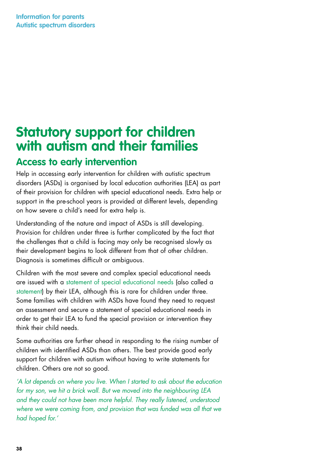## **Statutory support for children with autism and their families Access to early intervention**

Help in accessing early intervention for children with autistic spectrum disorders (ASDs) is organised by local education authorities (LEA) as part of their provision for children with special educational needs. Extra help or support in the pre-school years is provided at different levels, depending on how severe a child's need for extra help is.

Understanding of the nature and impact of ASDs is still developing. Provision for children under three is further complicated by the fact that the challenges that a child is facing may only be recognised slowly as their development begins to look different from that of other children. Diagnosis is sometimes difficult or ambiguous.

Children with the most severe and complex special educational needs are issued with a statement of special educational needs (also called a statement) by their LEA, although this is rare for children under three. Some families with children with ASDs have found they need to request an assessment and secure a statement of special educational needs in order to get their LEA to fund the special provision or intervention they think their child needs.

Some authorities are further ahead in responding to the rising number of children with identified ASDs than others. The best provide good early support for children with autism without having to write statements for children. Others are not so good.

*'A lot depends on where you live. When I started to ask about the education for my son, we hit a brick wall. But we moved into the neighbouring LEA and they could not have been more helpful. They really listened, understood where we were coming from, and provision that was funded was all that we had hoped for.'*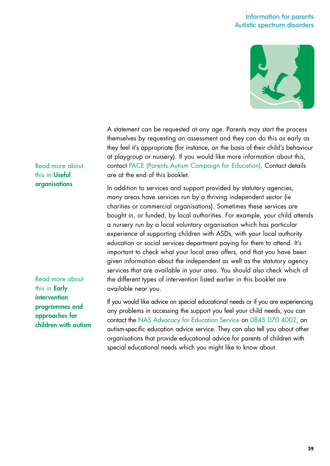

A statement can be requested at any age. Parents may start the process themselves by requesting an assessment and they can do this as early as they feel it's appropriate (for instance, on the basis of their child's behaviour at playgroup or nursery). If you would like more information about this, contact PACE (Parents Autism Campaign for Education). Contact details are at the end of this booklet.

In addition to services and support provided by statutory agencies, many areas have services run by a thriving independent sector (ie charities or commercial organisations). Sometimes these services are bought in, or funded, by local authorities. For example, your child attends a nursery run by a local voluntary organisation which has particular experience of supporting children with ASDs, with your local authority education or social services department paying for them to attend. It's important to check what your local area offers, and that you have been given information about the independent as well as the statutory agency services that are available in your area. You should also check which of the different types of intervention listed earlier in this booklet are available near you.

If you would like advice on special educational needs or if you are experiencing any problems in accessing the support you feel your child needs, you can contact the NAS Advocacy for Education Service on 0845 070 4002, an autism-specific education advice service. They can also tell you about other organisations that provide educational advice for parents of children with special educational needs which you might like to know about.

Read more about this in **Useful organisations**

Read more about this in **Early intervention programmes and approaches for children with autism**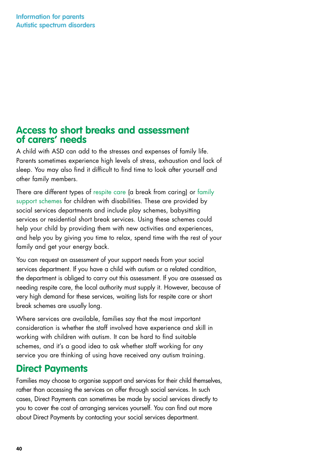### **Access to short breaks and assessment of carers' needs**

A child with ASD can add to the stresses and expenses of family life. Parents sometimes experience high levels of stress, exhaustion and lack of sleep. You may also find it difficult to find time to look after yourself and other family members.

There are different types of respite care (a break from caring) or family support schemes for children with disabilities. These are provided by social services departments and include play schemes, babysitting services or residential short break services. Using these schemes could help your child by providing them with new activities and experiences, and help you by giving you time to relax, spend time with the rest of your family and get your energy back.

You can request an assessment of your support needs from your social services department. If you have a child with autism or a related condition, the department is obliged to carry out this assessment. If you are assessed as needing respite care, the local authority must supply it. However, because of very high demand for these services, waiting lists for respite care or short break schemes are usually long.

Where services are available, families say that the most important consideration is whether the staff involved have experience and skill in working with children with autism. It can be hard to find suitable schemes, and it's a good idea to ask whether staff working for any service you are thinking of using have received any autism training.

### **Direct Payments**

Families may choose to organise support and services for their child themselves, rather than accessing the services on offer through social services. In such cases, Direct Payments can sometimes be made by social services directly to you to cover the cost of arranging services yourself. You can find out more about Direct Payments by contacting your social services department.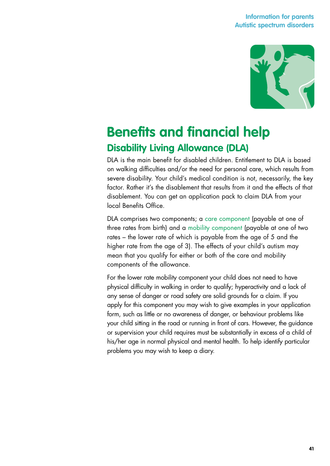

## **Benefits and financial help Disability Living Allowance (DLA)**

DLA is the main benefit for disabled children. Entitlement to DLA is based on walking difficulties and/or the need for personal care, which results from severe disability. Your child's medical condition is not, necessarily, the key factor. Rather it's the disablement that results from it and the effects of that disablement. You can get an application pack to claim DLA from your local Benefits Office.

DLA comprises two components; a care component (payable at one of three rates from birth) and a mobility component (payable at one of two rates – the lower rate of which is payable from the age of 5 and the higher rate from the age of 3). The effects of your child's autism may mean that you qualify for either or both of the care and mobility components of the allowance.

For the lower rate mobility component your child does not need to have physical difficulty in walking in order to qualify; hyperactivity and a lack of any sense of danger or road safety are solid grounds for a claim. If you apply for this component you may wish to give examples in your application form, such as little or no awareness of danger, or behaviour problems like your child sitting in the road or running in front of cars. However, the guidance or supervision your child requires must be substantially in excess of a child of his/her age in normal physical and mental health. To help identify particular problems you may wish to keep a diary.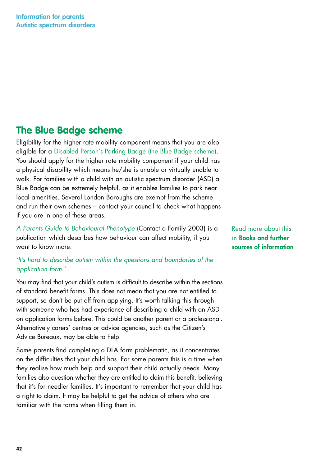### **The Blue Badge scheme**

Eligibility for the higher rate mobility component means that you are also eligible for a Disabled Person's Parking Badge (the Blue Badge scheme). You should apply for the higher rate mobility component if your child has a physical disability which means he/she is unable or virtually unable to walk. For families with a child with an autistic spectrum disorder (ASD) a Blue Badge can be extremely helpful, as it enables families to park near local amenities. Several London Boroughs are exempt from the scheme and run their own schemes – contact your council to check what happens if you are in one of these areas.

*A Parents Guide to Behavioural Phenotype* (Contact a Family 2003) is a publication which describes how behaviour can affect mobility, if you want to know more.

### *'It's hard to describe autism within the questions and boundaries of the application form.'*

You may find that your child's autism is difficult to describe within the sections of standard benefit forms. This does not mean that you are not entitled to support, so don't be put off from applying. It's worth talking this through with someone who has had experience of describing a child with an ASD on application forms before. This could be another parent or a professional. Alternatively carers' centres or advice agencies, such as the Citizen's Advice Bureaux, may be able to help.

Some parents find completing a DLA form problematic, as it concentrates on the difficulties that your child has. For some parents this is a time when they realise how much help and support their child actually needs. Many families also question whether they are entitled to claim this benefit, believing that it's for needier families. It's important to remember that your child has a right to claim. It may be helpful to get the advice of others who are familiar with the forms when filling them in.

Read more about this in **Books and further sources of information**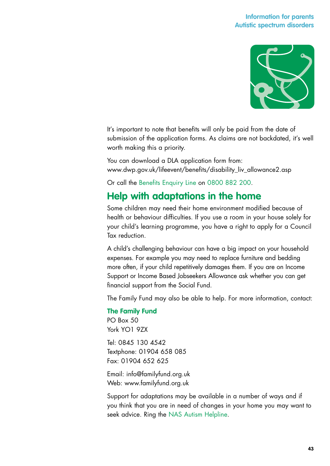

It's important to note that benefits will only be paid from the date of submission of the application forms. As claims are not backdated, it's well worth making this a priority.

You can download a DLA application form from: www.dwp.gov.uk/lifeevent/benefits/disability\_liv\_allowance2.asp

Or call the Benefits Enquiry Line on 0800 882 200.

### **Help with adaptations in the home**

Some children may need their home environment modified because of health or behaviour difficulties. If you use a room in your house solely for your child's learning programme, you have a right to apply for a Council Tax reduction.

A child's challenging behaviour can have a big impact on your household expenses. For example you may need to replace furniture and bedding more often, if your child repetitively damages them. If you are on Income Support or Income Based Jobseekers Allowance ask whether you can get financial support from the Social Fund.

The Family Fund may also be able to help. For more information, contact:

#### **The Family Fund**

PO Box 50 York YO1 97X

Tel: 0845 130 4542 Textphone: 01904 658 085 Fax: 01904 652 625

Email: info@familyfund.org.uk Web: www.familyfund.org.uk

Support for adaptations may be available in a number of ways and if you think that you are in need of changes in your home you may want to seek advice. Ring the NAS Autism Helpline.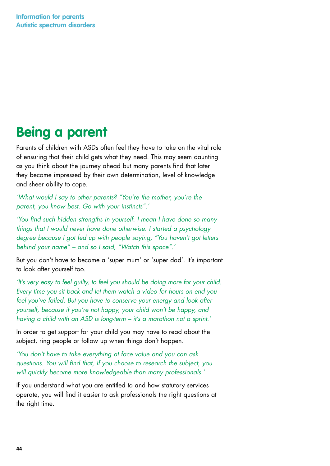## **Being a parent**

Parents of children with ASDs often feel they have to take on the vital role of ensuring that their child gets what they need. This may seem daunting as you think about the journey ahead but many parents find that later they become impressed by their own determination, level of knowledge and sheer ability to cope.

*'What would I say to other parents? "You're the mother, you're the parent, you know best. Go with your instincts".'*

*'You find such hidden strengths in yourself. I mean I have done so many things that I would never have done otherwise. I started a psychology degree because I got fed up with people saying, "You haven't got letters behind your name" – and so I said, "Watch this space".'*

But you don't have to become a 'super mum' or 'super dad'. It's important to look after yourself too.

*'It's very easy to feel guilty, to feel you should be doing more for your child. Every time you sit back and let them watch a video for hours on end you feel you've failed. But you have to conserve your energy and look after yourself, because if you're not happy, your child won't be happy, and having a child with an ASD is long-term – it's a marathon not a sprint.'*

In order to get support for your child you may have to read about the subject, ring people or follow up when things don't happen.

*'You don't have to take everything at face value and you can ask questions. You will find that, if you choose to research the subject, you will quickly become more knowledgeable than many professionals.'*

If you understand what you are entitled to and how statutory services operate, you will find it easier to ask professionals the right questions at the right time.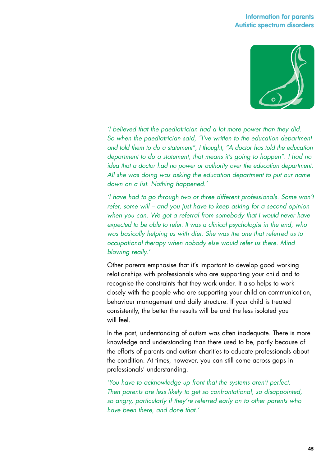

*'I believed that the paediatrician had a lot more power than they did. So when the paediatrician said, "I've written to the education department and told them to do a statement", I thought, "A doctor has told the education department to do a statement, that means it's going to happen". I had no idea that a doctor had no power or authority over the education department. All she was doing was asking the education department to put our name down on a list. Nothing happened.'*

*'I have had to go through two or three different professionals. Some won't refer, some will – and you just have to keep asking for a second opinion when you can. We got a referral from somebody that I would never have expected to be able to refer. It was a clinical psychologist in the end, who was basically helping us with diet. She was the one that referred us to occupational therapy when nobody else would refer us there. Mind blowing really.'*

Other parents emphasise that it's important to develop good working relationships with professionals who are supporting your child and to recognise the constraints that they work under. It also helps to work closely with the people who are supporting your child on communication, behaviour management and daily structure. If your child is treated consistently, the better the results will be and the less isolated you will feel.

In the past, understanding of autism was often inadequate. There is more knowledge and understanding than there used to be, partly because of the efforts of parents and autism charities to educate professionals about the condition. At times, however, you can still come across gaps in professionals' understanding.

*'You have to acknowledge up front that the systems aren't perfect. Then parents are less likely to get so confrontational, so disappointed, so angry, particularly if they're referred early on to other parents who have been there, and done that.'*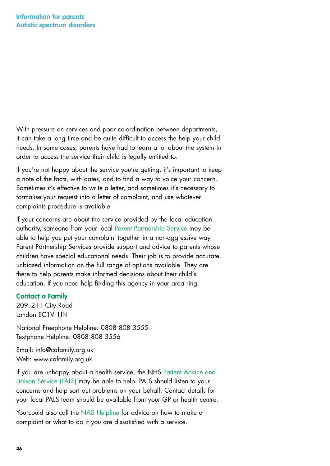With pressure on services and poor co-ordination between departments, it can take a long time and be quite difficult to access the help your child needs. In some cases, parents have had to learn a lot about the system in order to access the service their child is legally entitled to.

If you're not happy about the service you're getting, it's important to keep a note of the facts, with dates, and to find a way to voice your concern. Sometimes it's effective to write a letter, and sometimes it's necessary to formalise your request into a letter of complaint, and use whatever complaints procedure is available.

If your concerns are about the service provided by the local education authority, someone from your local Parent Partnership Service may be able to help you put your complaint together in a non-aggressive way. Parent Partnership Services provide support and advice to parents whose children have special educational needs. Their job is to provide accurate, unbiased information on the full range of options available. They are there to help parents make informed decisions about their child's education. If you need help finding this agency in your area ring:

### **Contact a Family**

209–211 City Road London EC1V 1JN

National Freephone Helpline: 0808 808 3555 Textphone Helpline: 0808 808 3556

Email: info@cafamily.org.uk Web: www.cafamily.org.uk

If you are unhappy about a health service, the NHS Patient Advice and Liaison Service (PALS) may be able to help. PALS should listen to your concerns and help sort out problems on your behalf. Contact details for your local PALS team should be available from your GP or health centre.

You could also call the NAS Helpline for advice on how to make a complaint or what to do if you are dissatisfied with a service.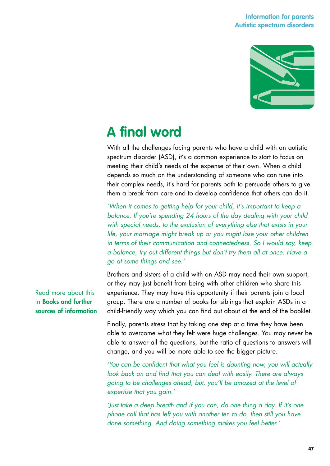

## **A final word**

With all the challenges facing parents who have a child with an autistic spectrum disorder (ASD), it's a common experience to start to focus on meeting their child's needs at the expense of their own. When a child depends so much on the understanding of someone who can tune into their complex needs, it's hard for parents both to persuade others to give them a break from care and to develop confidence that others can do it.

*'When it comes to getting help for your child, it's important to keep a balance. If you're spending 24 hours of the day dealing with your child with special needs, to the exclusion of everything else that exists in your life, your marriage might break up or you might lose your other children in terms of their communication and connectedness. So I would say, keep a balance, try out different things but don't try them all at once. Have a go at some things and see.'*

Brothers and sisters of a child with an ASD may need their own support, or they may just benefit from being with other children who share this experience. They may have this opportunity if their parents join a local group. There are a number of books for siblings that explain ASDs in a child-friendly way which you can find out about at the end of the booklet.

Read more about this in **Books and further sources of information**

> Finally, parents stress that by taking one step at a time they have been able to overcome what they felt were huge challenges. You may never be able to answer all the questions, but the ratio of questions to answers will change, and you will be more able to see the bigger picture.

> *'You can be confident that what you feel is daunting now, you will actually look back on and find that you can deal with easily. There are always going to be challenges ahead, but, you'll be amazed at the level of expertise that you gain.'*

*'Just take a deep breath and if you can, do one thing a day. If it's one phone call that has left you with another ten to do, then still you have done something. And doing something makes you feel better.'*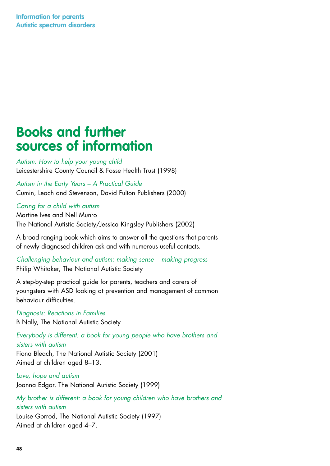## **Books and further sources of information**

*Autism: How to help your young child* Leicestershire County Council & Fosse Health Trust (1998)

*Autism in the Early Years – A Practical Guide* Cumin, Leach and Stevenson, David Fulton Publishers (2000)

### *Caring for a child with autism*

Martine Ives and Nell Munro The National Autistic Society/Jessica Kingsley Publishers (2002)

A broad ranging book which aims to answer all the questions that parents of newly diagnosed children ask and with numerous useful contacts.

*Challenging behaviour and autism: making sense – making progress* Philip Whitaker, The National Autistic Society

A step-by-step practical guide for parents, teachers and carers of youngsters with ASD looking at prevention and management of common behaviour difficulties.

*Diagnosis: Reactions in Families*  B Nally, The National Autistic Society

*Everybody is different: a book for young people who have brothers and sisters with autism* Fiona Bleach, The National Autistic Society (2001)

Aimed at children aged 8–13.

*Love, hope and autism* Joanna Edgar, The National Autistic Society (1999)

*My brother is different: a book for young children who have brothers and sisters with autism*  Louise Gorrod, The National Autistic Society (1997) Aimed at children aged 4–7.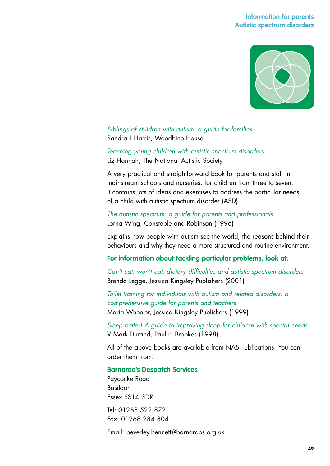

*Siblings of children with autism: a guide for families* Sandra L Harris, Woodbine House

*Teaching young children with autistic spectrum disorders*  Liz Hannah, The National Autistic Society

A very practical and straightforward book for parents and staff in mainstream schools and nurseries, for children from three to seven. It contains lots of ideas and exercises to address the particular needs of a child with autistic spectrum disorder (ASD).

*The autistic spectrum: a guide for parents and professionals* Lorna Wing, Constable and Robinson (1996)

Explains how people with autism see the world, the reasons behind their behaviours and why they need a more structured and routine environment.

#### **For information about tackling particular problems, look at:**

*Can't eat, won't eat: dietary difficulties and autistic spectrum disorders* Brenda Legge, Jessica Kingsley Publishers (2001)

*Toilet training for individuals with autism and related disorders: a comprehensive guide for parents and teachers* Maria Wheeler, Jessica Kingsley Publishers (1999)

*Sleep better! A guide to improving sleep for children with special needs* V Mark Durand, Paul H Brookes (1998)

All of the above books are available from NAS Publications. You can order them from:

#### **Barnardo's Despatch Services**

Paycocke Road Basildon Essex SS14 3DR

Tel: 01268 522 872 Fax: 01268 284 804

Email: beverley.bennett@barnardos.org.uk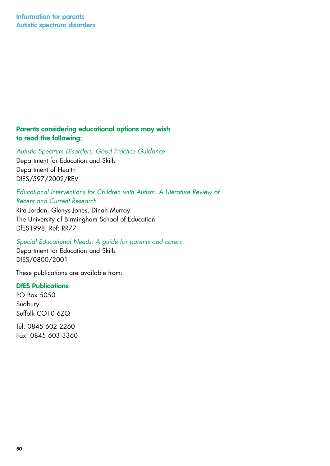### **Parents considering educational options may wish to read the following:**

*Autistic Spectrum Disorders: Good Practice Guidance* Department for Education and Skills Department of Health DfES/597/2002/REV

### *Educational Interventions for Children with Autism: A Literature Review of Recent and Current Research*

Rita Jordan, Glenys Jones, Dinah Murray The University of Birmingham School of Education DfES1998, Ref: RR77

*Special Educational Needs: A guide for parents and carers*

Department for Education and Skills DfES/0800/2001

These publications are available from:

### **DfES Publications**

PO Box 5050 Sudbury Suffolk CO10 6ZQ

Tel: 0845 602 2260 Fax: 0845 603 3360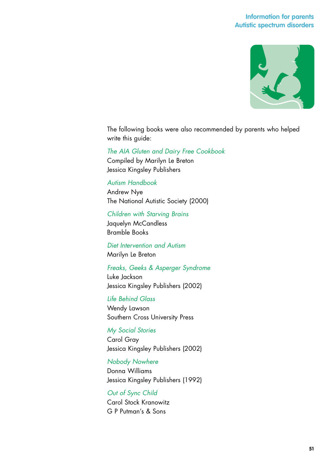

The following books were also recommended by parents who helped write this guide:

*The AIA Gluten and Dairy Free Cookbook*  Compiled by Marilyn Le Breton Jessica Kingsley Publishers

#### *Autism Handbook*

Andrew Nye The National Autistic Society (2000)

*Children with Starving Brains* 

Jaquelyn McCandless Bramble Books

*Diet Intervention and Autism*  Marilyn Le Breton

*Freaks, Geeks & Asperger Syndrome*  Luke Jackson

Jessica Kingsley Publishers (2002)

*Life Behind Glass* Wendy Lawson

Southern Cross University Press

*My Social Stories* Carol Gray Jessica Kingsley Publishers (2002)

*Nobody Nowhere* Donna Williams

Jessica Kingsley Publishers (1992)

*Out of Sync Child*  Carol Stock Kranowitz G P Putman's & Sons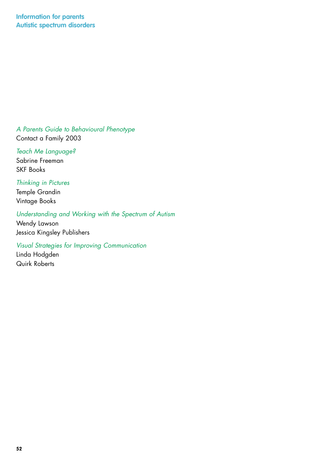*A Parents Guide to Behavioural Phenotype* Contact a Family 2003

*Teach Me Language?* Sabrine Freeman SKF Books

*Thinking in Pictures* Temple Grandin Vintage Books

*Understanding and Working with the Spectrum of Autism* 

Wendy Lawson Jessica Kingsley Publishers

*Visual Strategies for Improving Communication* Linda Hodgden Quirk Roberts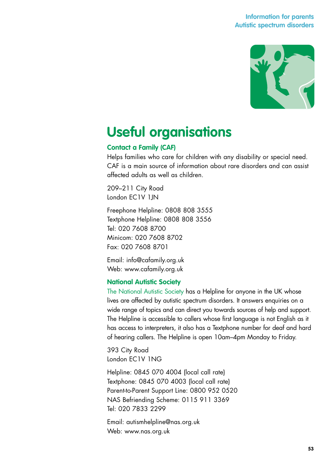

## **Useful organisations**

### **Contact a Family (CAF)**

Helps families who care for children with any disability or special need. CAF is a main source of information about rare disorders and can assist affected adults as well as children.

209–211 City Road London EC<sub>1V</sub> 1IN

Freephone Helpline: 0808 808 3555 Textphone Helpline: 0808 808 3556 Tel: 020 7608 8700 Minicom: 020 7608 8702 Fax: 020 7608 8701

Email: info@cafamily.org.uk Web: www.cafamily.org.uk

### **National Autistic Society**

The National Autistic Society has a Helpline for anyone in the UK whose lives are affected by autistic spectrum disorders. It answers enquiries on a wide range of topics and can direct you towards sources of help and support. The Helpline is accessible to callers whose first language is not English as it has access to interpreters, it also has a Textphone number for deaf and hard of hearing callers. The Helpline is open 10am–4pm Monday to Friday.

393 City Road London EC1V 1NG

Helpline: 0845 070 4004 (local call rate) Textphone: 0845 070 4003 (local call rate) Parent-to-Parent Support Line: 0800 952 0520 NAS Befriending Scheme: 0115 911 3369 Tel: 020 7833 2299

Email: autismhelpline@nas.org.uk Web: www.nas.org.uk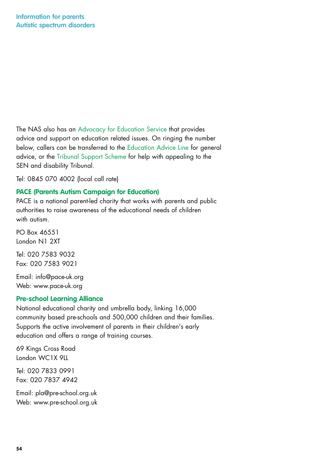The NAS also has an Advocacy for Education Service that provides advice and support on education related issues. On ringing the number below, callers can be transferred to the Education Advice Line for general advice, or the Tribunal Support Scheme for help with appealing to the SEN and disability Tribunal.

Tel: 0845 070 4002 (local call rate)

### **PACE (Parents Autism Campaign for Education)**

PACE is a national parent-led charity that works with parents and public authorities to raise awareness of the educational needs of children with autism.

PO Box 46551 London N1 2XT

Tel: 020 7583 9032 Fax: 020 7583 9021

Email: info@pace-uk.org Web: www.pace-uk.org

#### **Pre-school Learning Alliance**

National educational charity and umbrella body, linking 16,000 community based pre-schools and 500,000 children and their families. Supports the active involvement of parents in their children's early education and offers a range of training courses.

69 Kings Cross Road London WC1X 9LL

Tel: 020 7833 0991 Fax: 020 7837 4942

Email: pla@pre-school.org.uk Web: www.pre-school.org.uk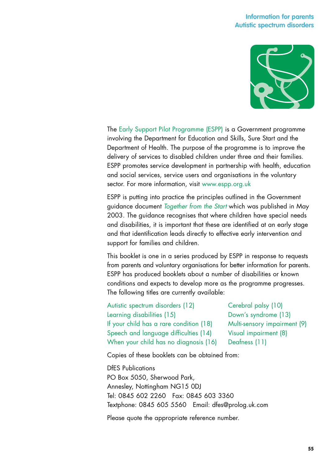

The Early Support Pilot Programme (ESPP) is a Government programme involving the Department for Education and Skills, Sure Start and the Department of Health. The purpose of the programme is to improve the delivery of services to disabled children under three and their families. ESPP promotes service development in partnership with health, education and social services, service users and organisations in the voluntary sector. For more information, visit www.espp.org.uk

ESPP is putting into practice the principles outlined in the Government guidance document *Together from the Start* which was published in May 2003. The guidance recognises that where children have special needs and disabilities, it is important that these are identified at an early stage and that identification leads directly to effective early intervention and support for families and children.

This booklet is one in a series produced by ESPP in response to requests from parents and voluntary organisations for better information for parents. ESPP has produced booklets about a number of disabilities or known conditions and expects to develop more as the programme progresses. The following titles are currently available:

Autistic spectrum disorders (12) Cerebral palsy (10) Learning disabilities (15) Down's syndrome (13) If your child has a rare condition (18) Multi-sensory impairment (9) Speech and language difficulties (14) Visual impairment (8) When your child has no diagnosis (16) Deafness (11)

Copies of these booklets can be obtained from:

DfES Publications PO Box 5050, Sherwood Park, Annesley, Nottingham NG15 0DJ Tel: 0845 602 2260 Fax: 0845 603 3360 Textphone: 0845 605 5560 Email: dfes@prolog.uk.com

Please quote the appropriate reference number.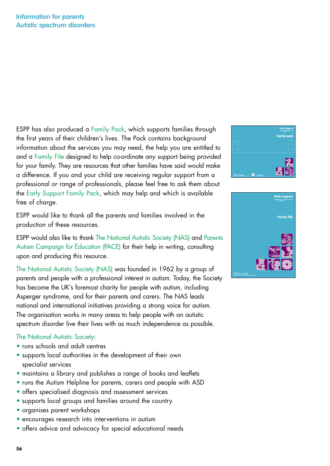ESPP has also produced a Family Pack, which supports families through the first years of their children's lives. The Pack contains background information about the services you may need, the help you are entitled to and a Family File designed to help co-ordinate any support being provided for your family. They are resources that other families have said would make a difference. If you and your child are receiving regular support from a professional or range of professionals, please feel free to ask them about the Early Support Family Pack, which may help and which is available free of charge.

ESPP would like to thank all the parents and families involved in the production of these resources.

ESPP would also like to thank The National Autistic Society (NAS) and Parents Autism Campaign for Education (PACE) for their help in writing, consulting upon and producing this resource.

The National Autistic Society (NAS) was founded in 1962 by a group of parents and people with a professional interest in autism. Today, the Society has become the UK's foremost charity for people with autism, including Asperger syndrome, and for their parents and carers. The NAS leads national and international initiatives providing a strong voice for autism. The organisation works in many areas to help people with an autistic spectrum disorder live their lives with as much independence as possible.

#### The National Autistic Society:

- runs schools and adult centres
- supports local authorities in the development of their own specialist services
- maintains a library and publishes a range of books and leaflets
- runs the Autism Helpline for parents, carers and people with ASD
- offers specialised diagnosis and assessment services
- supports local groups and families around the country
- organises parent workshops
- encourages research into interventions in autism
- offers advice and advocacy for special educational needs



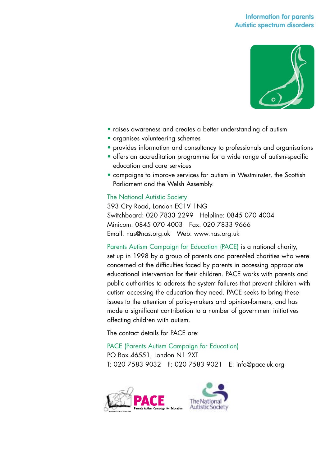

- raises awareness and creates a better understanding of autism
- organises volunteering schemes
- provides information and consultancy to professionals and organisations
- offers an accreditation programme for a wide range of autism-specific education and care services
- campaigns to improve services for autism in Westminster, the Scottish Parliament and the Welsh Assembly.

### The National Autistic Society

393 City Road, London EC1V 1NG Switchboard: 020 7833 2299 Helpline: 0845 070 4004 Minicom: 0845 070 4003 Fax: 020 7833 9666 Email: nas@nas.org.uk Web: www.nas.org.uk

Parents Autism Campaign for Education (PACE) is a national charity, set up in 1998 by a group of parents and parent-led charities who were concerned at the difficulties faced by parents in accessing appropriate educational intervention for their children. PACE works with parents and public authorities to address the system failures that prevent children with autism accessing the education they need. PACE seeks to bring these issues to the attention of policy-makers and opinion-formers, and has made a significant contribution to a number of government initiatives affecting children with autism.

The contact details for PACE are:

PACE (Parents Autism Campaign for Education) PO Box 46551, London N1 2XT T: 020 7583 9032 F: 020 7583 9021 E: info@pace-uk.org